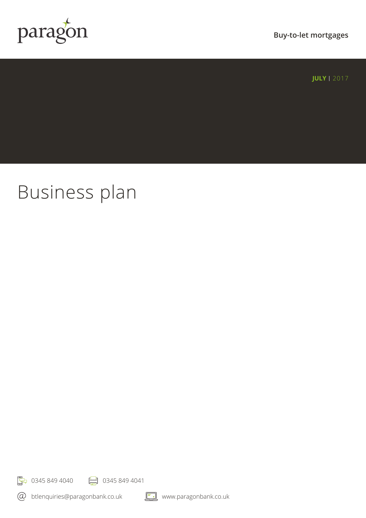

**Buy-to-let mortgages**

**JULY** | 2017

# Business plan

☆ 0345 849 4040 → 0345 849 4041

btlenquiries@paragonbank.co.uk